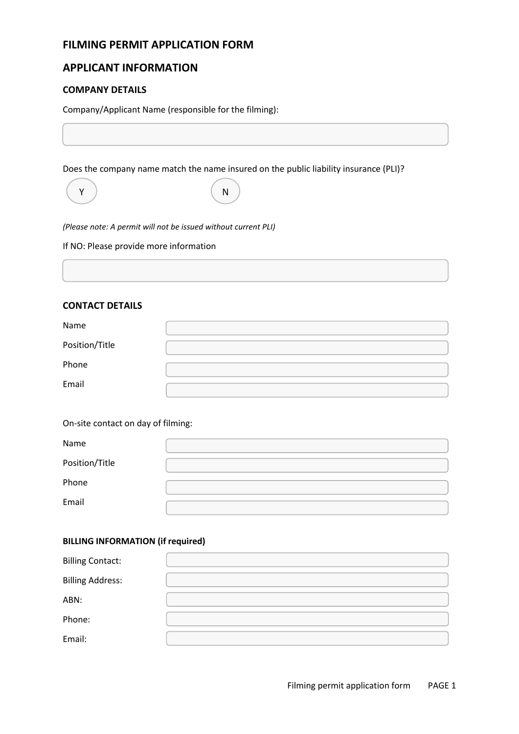# **FILMING PERMIT APPLICATION FORM**

# **APPLICANT INFORMATION**

## **COMPANY DETAILS**

Company/Applicant Name (responsible for the filming):

Does the company name match the name insured on the public liability insurance (PLI)?



Y) (N

*(Please note: A permit will not be issued without current PLI)*

If NO: Please provide more information

## **CONTACT DETAILS**

| Name           |  |
|----------------|--|
| Position/Title |  |
| Phone          |  |
| Email          |  |

On-site contact on day of filming:

| Name           |  |
|----------------|--|
| Position/Title |  |
| Phone          |  |
| Email          |  |

## **BILLING INFORMATION (if required)**

| <b>Billing Contact:</b> |  |
|-------------------------|--|
| <b>Billing Address:</b> |  |
| ABN:                    |  |
| Phone:                  |  |
| Email:                  |  |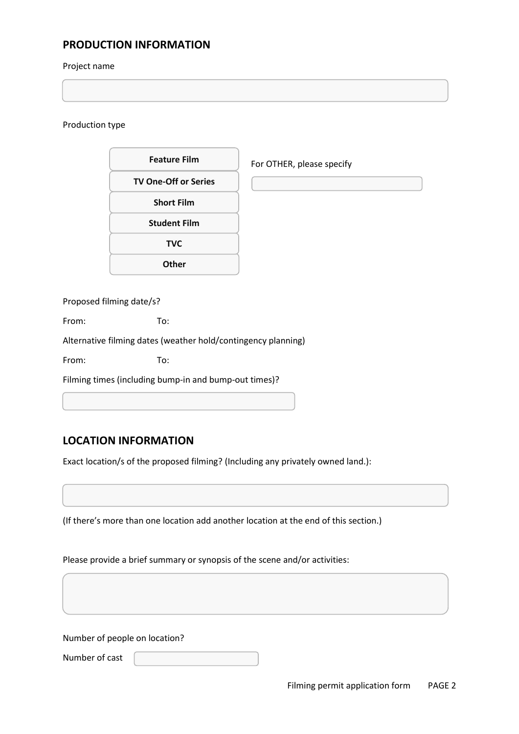# **PRODUCTION INFORMATION**

## Project name

## Production type

| <b>Feature Film</b>         | For OTHER, please specify |
|-----------------------------|---------------------------|
| <b>TV One-Off or Series</b> |                           |
| <b>Short Film</b>           |                           |
| <b>Student Film</b>         |                           |
| <b>TVC</b>                  |                           |
| <b>Other</b>                |                           |
|                             |                           |

Proposed filming date/s?

From: To:

Alternative filming dates (weather hold/contingency planning)

From: To:

Filming times (including bump-in and bump-out times)?

# **LOCATION INFORMATION**

Exact location/s of the proposed filming? (Including any privately owned land.):

(If there's more than one location add another location at the end of this section.)

Please provide a brief summary or synopsis of the scene and/or activities:

Number of people on location?

Number of cast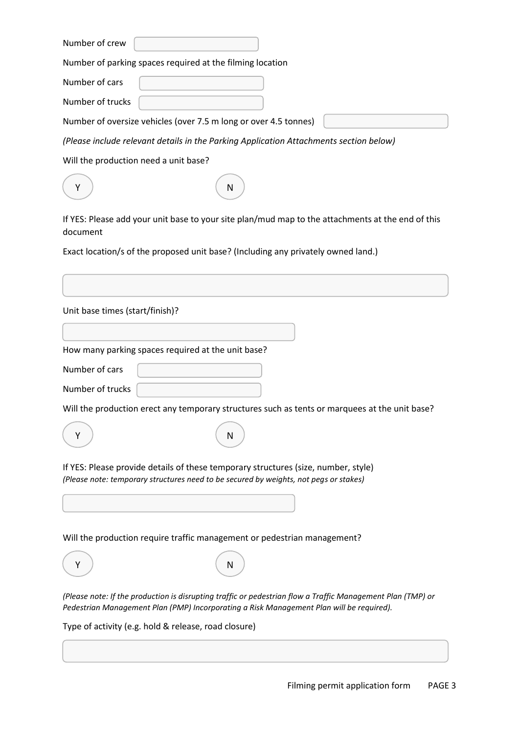Number of crew

Number of parking spaces required at the filming location

Number of cars

Number of trucks

Number of oversize vehicles (over 7.5 m long or over 4.5 tonnes)

*(Please include relevant details in the Parking Application Attachments section below)*

Will the production need a unit base?

| f YES: Please add your unit base to your site plan/mud map to the attachments at the |
|--------------------------------------------------------------------------------------|

If YES: Please add your unit base to your site plan/mud map to the attachments at the end of this document

Exact location/s of the proposed unit base? (Including any privately owned land.)

| Unit base times (start/finish)? |                                                                                                                                                                                                         |
|---------------------------------|---------------------------------------------------------------------------------------------------------------------------------------------------------------------------------------------------------|
|                                 | How many parking spaces required at the unit base?                                                                                                                                                      |
| Number of cars                  |                                                                                                                                                                                                         |
| Number of trucks                |                                                                                                                                                                                                         |
|                                 | Will the production erect any temporary structures such as tents or marquees at the unit base?                                                                                                          |
| Y                               | N                                                                                                                                                                                                       |
|                                 | If YES: Please provide details of these temporary structures (size, number, style)<br>(Please note: temporary structures need to be secured by weights, not pegs or stakes)                             |
|                                 | Will the production require traffic management or pedestrian management?                                                                                                                                |
|                                 | N                                                                                                                                                                                                       |
|                                 | (Please note: If the production is disrupting traffic or pedestrian flow a Traffic Management Plan (TMP) or<br>Pedestrian Management Plan (PMP) Incorporating a Risk Management Plan will be required). |
|                                 | Type of activity (e.g. hold & release, road closure)                                                                                                                                                    |
|                                 |                                                                                                                                                                                                         |
|                                 |                                                                                                                                                                                                         |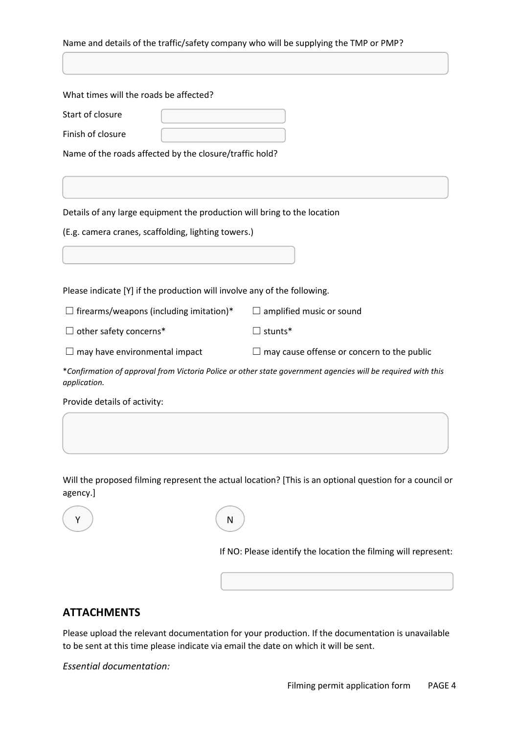| Name and details of the traffic/safety company who will be supplying the TMP or PMP? |                                                                                                              |  |
|--------------------------------------------------------------------------------------|--------------------------------------------------------------------------------------------------------------|--|
|                                                                                      |                                                                                                              |  |
|                                                                                      |                                                                                                              |  |
| What times will the roads be affected?                                               |                                                                                                              |  |
| Start of closure                                                                     |                                                                                                              |  |
| Finish of closure                                                                    |                                                                                                              |  |
| Name of the roads affected by the closure/traffic hold?                              |                                                                                                              |  |
|                                                                                      |                                                                                                              |  |
|                                                                                      |                                                                                                              |  |
| Details of any large equipment the production will bring to the location             |                                                                                                              |  |
| (E.g. camera cranes, scaffolding, lighting towers.)                                  |                                                                                                              |  |
|                                                                                      |                                                                                                              |  |
|                                                                                      |                                                                                                              |  |
| Please indicate [Y] if the production will involve any of the following.             |                                                                                                              |  |
| $\Box$ firearms/weapons (including imitation)*                                       | amplified music or sound                                                                                     |  |
| $\Box$ other safety concerns*                                                        | $\Box$ stunts*                                                                                               |  |
| $\Box$ may have environmental impact                                                 | $\Box$ may cause offense or concern to the public                                                            |  |
| application.                                                                         | *Confirmation of approval from Victoria Police or other state government agencies will be required with this |  |
| Provide details of activity:                                                         |                                                                                                              |  |
|                                                                                      |                                                                                                              |  |

Will the proposed filming represent the actual location? [This is an optional question for a council or agency.]



If NO: Please identify the location the filming will represent:

# **ATTACHMENTS**

Please upload the relevant documentation for your production. If the documentation is unavailable to be sent at this time please indicate via email the date on which it will be sent.

*Essential documentation:*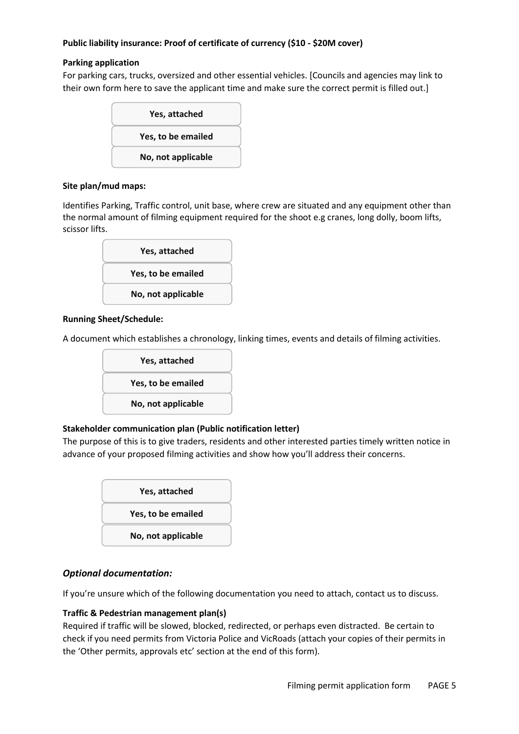## **Public liability insurance: Proof of certificate of currency (\$10 - \$20M cover)**

## **Parking application**

For parking cars, trucks, oversized and other essential vehicles. [Councils and agencies may link to their own form here to save the applicant time and make sure the correct permit is filled out.]



## **Site plan/mud maps:**

Identifies Parking, Traffic control, unit base, where crew are situated and any equipment other than the normal amount of filming equipment required for the shoot e.g cranes, long dolly, boom lifts, scissor lifts.



## **Running Sheet/Schedule:**

A document which establishes a chronology, linking times, events and details of filming activities.



## **Stakeholder communication plan (Public notification letter)**

The purpose of this is to give traders, residents and other interested parties timely written notice in advance of your proposed filming activities and show how you'll address their concerns.



# *Optional documentation:*

If you're unsure which of the following documentation you need to attach, contact us to discuss.

## **Traffic & Pedestrian management plan(s)**

Required if traffic will be slowed, blocked, redirected, or perhaps even distracted. Be certain to check if you need permits from Victoria Police and VicRoads (attach your copies of their permits in the 'Other permits, approvals etc' section at the end of this form).